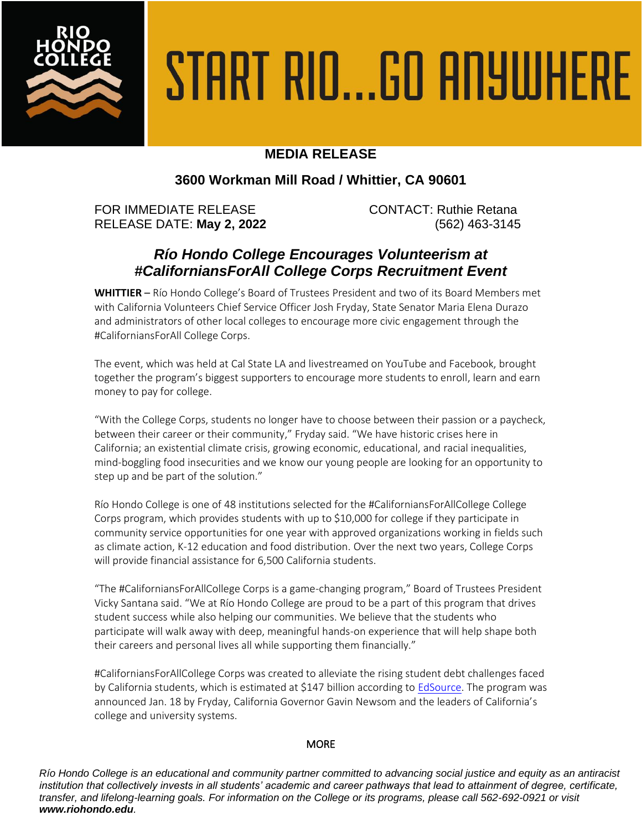

# START RIO...GO ANYWHERE

## **MEDIA RELEASE**

## **3600 Workman Mill Road / Whittier, CA 90601**

FOR IMMEDIATE RELEASE CONTACT: Ruthie Retana RELEASE DATE: **May 2, 2022** (562) 463-3145

# *Río Hondo College Encourages Volunteerism at #CaliforniansForAll College Corps Recruitment Event*

**WHITTIER** – Río Hondo College's Board of Trustees President and two of its Board Members met with California Volunteers Chief Service Officer Josh Fryday, State Senator Maria Elena Durazo and administrators of other local colleges to encourage more civic engagement through the #CaliforniansForAll College Corps.

The event, which was held at Cal State LA and livestreamed on YouTube and Facebook, brought together the program's biggest supporters to encourage more students to enroll, learn and earn money to pay for college.

"With the College Corps, students no longer have to choose between their passion or a paycheck, between their career or their community," Fryday said. "We have historic crises here in California; an existential climate crisis, growing economic, educational, and racial inequalities, mind-boggling food insecurities and we know our young people are looking for an opportunity to step up and be part of the solution."

Río Hondo College is one of 48 institutions selected for the #CaliforniansForAllCollege College Corps program, which provides students with up to \$10,000 for college if they participate in community service opportunities for one year with approved organizations working in fields such as climate action, K-12 education and food distribution. Over the next two years, College Corps will provide financial assistance for 6,500 California students.

"The #CaliforniansForAllCollege Corps is a game-changing program," Board of Trustees President Vicky Santana said. "We at Río Hondo College are proud to be a part of this program that drives student success while also helping our communities. We believe that the students who participate will walk away with deep, meaningful hands-on experience that will help shape both their careers and personal lives all while supporting them financially."

#CaliforniansForAllCollege Corps was created to alleviate the rising student debt challenges faced by California students, which is estimated at \$147 billion according t[o EdSource.](https://edsource.org/2021/questions-on-college-debt-state-planning-info-upgrade/663040#:~:text=Nearly%204%20million%20Californians%20owe,face%20a%20rocky%20financial%20future.) The program was announced Jan. 18 by Fryday, California Governor Gavin Newsom and the leaders of California's college and university systems.

### **MORE**

*Río Hondo College is an educational and community partner committed to advancing social justice and equity as an antiracist institution that collectively invests in all students' academic and career pathways that lead to attainment of degree, certificate, transfer, and lifelong-learning goals. For information on the College or its programs, please call 562-692-0921 or visit www.riohondo.edu.*